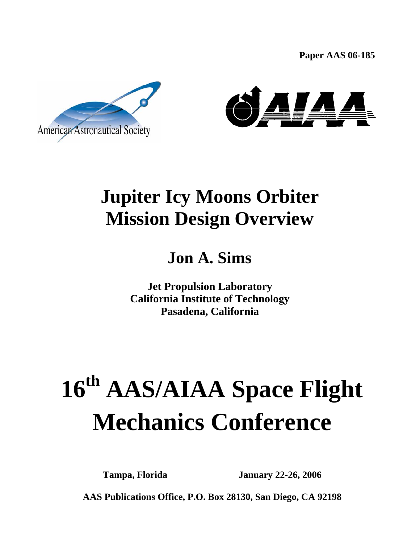**Paper AAS 06-185**





## **Jupiter Icy Moons Orbiter Mission Design Overview**

### **Jon A. Sims**

**Jet Propulsion Laboratory California Institute of Technology Pasadena, California** 

# **16th AAS/AIAA Space Flight Mechanics Conference**

**Tampa, Florida January 22-26, 2006** 

1 **AAS Publications Office, P.O. Box 28130, San Diego, CA 92198**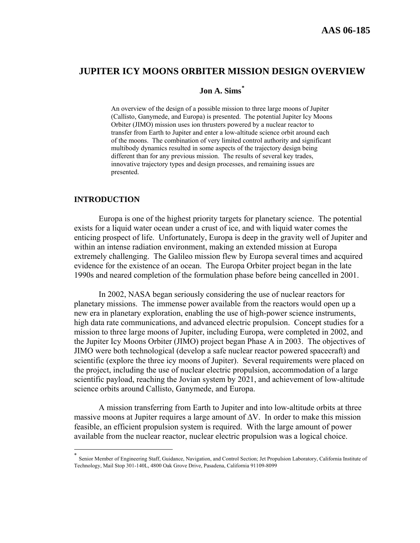#### **JUPITER ICY MOONS ORBITER MISSION DESIGN OVERVIEW**

#### **Jon A. Sims[\\*](#page-1-0)**

An overview of the design of a possible mission to three large moons of Jupiter (Callisto, Ganymede, and Europa) is presented. The potential Jupiter Icy Moons Orbiter (JIMO) mission uses ion thrusters powered by a nuclear reactor to transfer from Earth to Jupiter and enter a low-altitude science orbit around each of the moons. The combination of very limited control authority and significant multibody dynamics resulted in some aspects of the trajectory design being different than for any previous mission. The results of several key trades, innovative trajectory types and design processes, and remaining issues are presented.

#### **INTRODUCTION**

1

Europa is one of the highest priority targets for planetary science. The potential exists for a liquid water ocean under a crust of ice, and with liquid water comes the enticing prospect of life. Unfortunately, Europa is deep in the gravity well of Jupiter and within an intense radiation environment, making an extended mission at Europa extremely challenging. The Galileo mission flew by Europa several times and acquired evidence for the existence of an ocean. The Europa Orbiter project began in the late 1990s and neared completion of the formulation phase before being cancelled in 2001.

In 2002, NASA began seriously considering the use of nuclear reactors for planetary missions. The immense power available from the reactors would open up a new era in planetary exploration, enabling the use of high-power science instruments, high data rate communications, and advanced electric propulsion. Concept studies for a mission to three large moons of Jupiter, including Europa, were completed in 2002, and the Jupiter Icy Moons Orbiter (JIMO) project began Phase A in 2003. The objectives of JIMO were both technological (develop a safe nuclear reactor powered spacecraft) and scientific (explore the three icy moons of Jupiter). Several requirements were placed on the project, including the use of nuclear electric propulsion, accommodation of a large scientific payload, reaching the Jovian system by 2021, and achievement of low-altitude science orbits around Callisto, Ganymede, and Europa.

A mission transferring from Earth to Jupiter and into low-altitude orbits at three massive moons at Jupiter requires a large amount of  $\Delta V$ . In order to make this mission feasible, an efficient propulsion system is required. With the large amount of power available from the nuclear reactor, nuclear electric propulsion was a logical choice.

<span id="page-1-0"></span>Senior Member of Engineering Staff, Guidance, Navigation, and Control Section; Jet Propulsion Laboratory, California Institute of Technology, Mail Stop 301-140L, 4800 Oak Grove Drive, Pasadena, California 91109-8099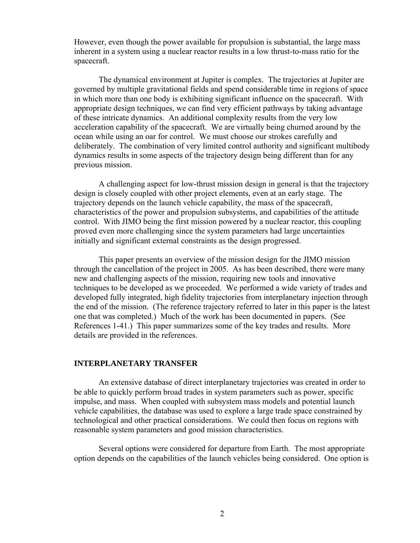However, even though the power available for propulsion is substantial, the large mass inherent in a system using a nuclear reactor results in a low thrust-to-mass ratio for the spacecraft.

 The dynamical environment at Jupiter is complex. The trajectories at Jupiter are governed by multiple gravitational fields and spend considerable time in regions of space in which more than one body is exhibiting significant influence on the spacecraft. With appropriate design techniques, we can find very efficient pathways by taking advantage of these intricate dynamics. An additional complexity results from the very low acceleration capability of the spacecraft. We are virtually being churned around by the ocean while using an oar for control. We must choose our strokes carefully and deliberately. The combination of very limited control authority and significant multibody dynamics results in some aspects of the trajectory design being different than for any previous mission.

A challenging aspect for low-thrust mission design in general is that the trajectory design is closely coupled with other project elements, even at an early stage. The trajectory depends on the launch vehicle capability, the mass of the spacecraft, characteristics of the power and propulsion subsystems, and capabilities of the attitude control. With JIMO being the first mission powered by a nuclear reactor, this coupling proved even more challenging since the system parameters had large uncertainties initially and significant external constraints as the design progressed.

 This paper presents an overview of the mission design for the JIMO mission through the cancellation of the project in 2005. As has been described, there were many new and challenging aspects of the mission, requiring new tools and innovative techniques to be developed as we proceeded. We performed a wide variety of trades and developed fully integrated, high fidelity trajectories from interplanetary injection through the end of the mission. (The reference trajectory referred to later in this paper is the latest one that was completed.) Much of the work has been documented in papers. (See References 1-41.) This paper summarizes some of the key trades and results. More details are provided in the references.

#### **INTERPLANETARY TRANSFER**

 An extensive database of direct interplanetary trajectories was created in order to be able to quickly perform broad trades in system parameters such as power, specific impulse, and mass. When coupled with subsystem mass models and potential launch vehicle capabilities, the database was used to explore a large trade space constrained by technological and other practical considerations. We could then focus on regions with reasonable system parameters and good mission characteristics.

 Several options were considered for departure from Earth. The most appropriate option depends on the capabilities of the launch vehicles being considered. One option is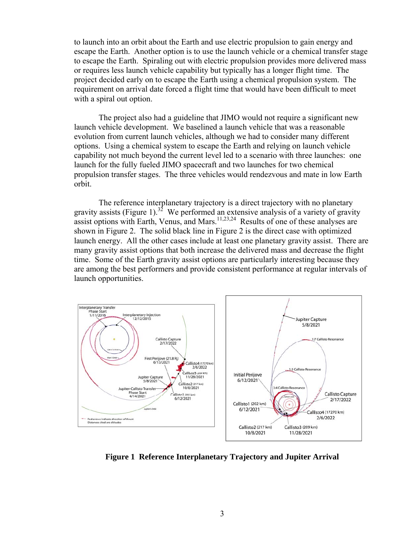to launch into an orbit about the Earth and use electric propulsion to gain energy and escape the Earth. Another option is to use the launch vehicle or a chemical transfer stage to escape the Earth. Spiraling out with electric propulsion provides more delivered mass or requires less launch vehicle capability but typically has a longer flight time. The project decided early on to escape the Earth using a chemical propulsion system. The requirement on arrival date forced a flight time that would have been difficult to meet with a spiral out option.

The project also had a guideline that JIMO would not require a significant new launch vehicle development. We baselined a launch vehicle that was a reasonable evolution from current launch vehicles, although we had to consider many different options. Using a chemical system to escape the Earth and relying on launch vehicle capability not much beyond the current level led to a scenario with three launches: one launch for the fully fueled JIMO spacecraft and two launches for two chemical propulsion transfer stages. The three vehicles would rendezvous and mate in low Earth orbit.

 The reference interplanetary trajectory is a direct trajectory with no planetary gravity assists (Figure 1).<sup>32</sup> We performed an extensive analysis of a variety of gravity assist options with Earth, Venus, and Mars.<sup>11,23,24</sup> Results of one of these analyses are shown in Figure 2. The solid black line in Figure 2 is the direct case with optimized launch energy. All the other cases include at least one planetary gravity assist. There are many gravity assist options that both increase the delivered mass and decrease the flight time. Some of the Earth gravity assist options are particularly interesting because they are among the best performers and provide consistent performance at regular intervals of launch opportunities.



**Figure 1 Reference Interplanetary Trajectory and Jupiter Arrival**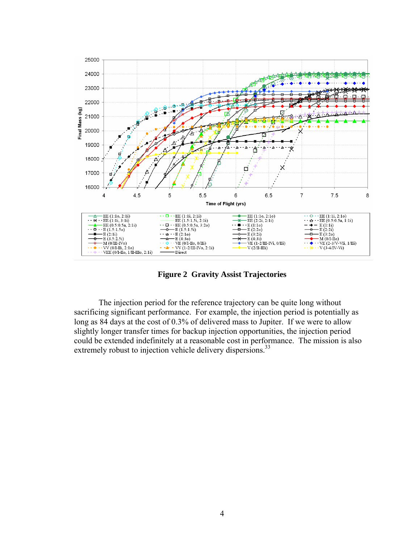

**Figure 2 Gravity Assist Trajectories** 

 The injection period for the reference trajectory can be quite long without sacrificing significant performance. For example, the injection period is potentially as long as 84 days at the cost of 0.3% of delivered mass to Jupiter. If we were to allow slightly longer transfer times for backup injection opportunities, the injection period could be extended indefinitely at a reasonable cost in performance. The mission is also extremely robust to injection vehicle delivery dispersions.<sup>33</sup>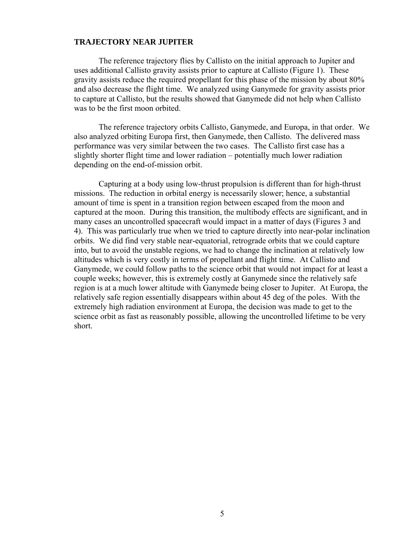#### **TRAJECTORY NEAR JUPITER**

 The reference trajectory flies by Callisto on the initial approach to Jupiter and uses additional Callisto gravity assists prior to capture at Callisto (Figure 1). These gravity assists reduce the required propellant for this phase of the mission by about 80% and also decrease the flight time. We analyzed using Ganymede for gravity assists prior to capture at Callisto, but the results showed that Ganymede did not help when Callisto was to be the first moon orbited.

 The reference trajectory orbits Callisto, Ganymede, and Europa, in that order. We also analyzed orbiting Europa first, then Ganymede, then Callisto. The delivered mass performance was very similar between the two cases. The Callisto first case has a slightly shorter flight time and lower radiation – potentially much lower radiation depending on the end-of-mission orbit.

 Capturing at a body using low-thrust propulsion is different than for high-thrust missions. The reduction in orbital energy is necessarily slower; hence, a substantial amount of time is spent in a transition region between escaped from the moon and captured at the moon. During this transition, the multibody effects are significant, and in many cases an uncontrolled spacecraft would impact in a matter of days (Figures 3 and 4). This was particularly true when we tried to capture directly into near-polar inclination orbits. We did find very stable near-equatorial, retrograde orbits that we could capture into, but to avoid the unstable regions, we had to change the inclination at relatively low altitudes which is very costly in terms of propellant and flight time. At Callisto and Ganymede, we could follow paths to the science orbit that would not impact for at least a couple weeks; however, this is extremely costly at Ganymede since the relatively safe region is at a much lower altitude with Ganymede being closer to Jupiter. At Europa, the relatively safe region essentially disappears within about 45 deg of the poles. With the extremely high radiation environment at Europa, the decision was made to get to the science orbit as fast as reasonably possible, allowing the uncontrolled lifetime to be very short.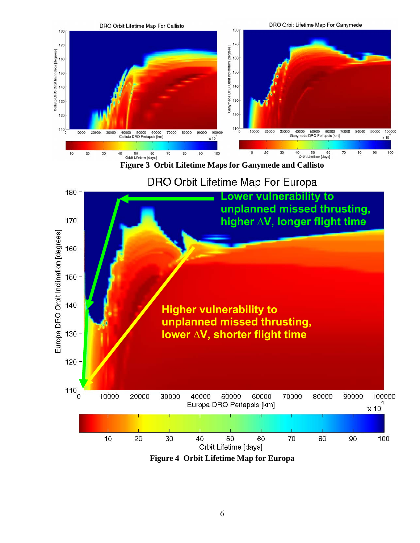

**Figure 3 Orbit Lifetime Maps for Ganymede and Callisto** 

DRO Orbit Lifetime Map For Europa



**Figure 4 Orbit Lifetime Map for Europa**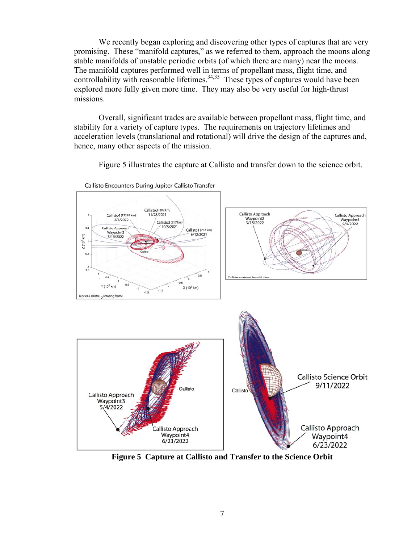We recently began exploring and discovering other types of captures that are very promising. These "manifold captures," as we referred to them, approach the moons along stable manifolds of unstable periodic orbits (of which there are many) near the moons. The manifold captures performed well in terms of propellant mass, flight time, and controllability with reasonable lifetimes.<sup>34,35</sup> These types of captures would have been explored more fully given more time. They may also be very useful for high-thrust missions.

 Overall, significant trades are available between propellant mass, flight time, and stability for a variety of capture types. The requirements on trajectory lifetimes and acceleration levels (translational and rotational) will drive the design of the captures and, hence, many other aspects of the mission.

Figure 5 illustrates the capture at Callisto and transfer down to the science orbit.



Callisto Encounters During Jupiter-Callisto Transfer

**Figure 5 Capture at Callisto and Transfer to the Science Orbit**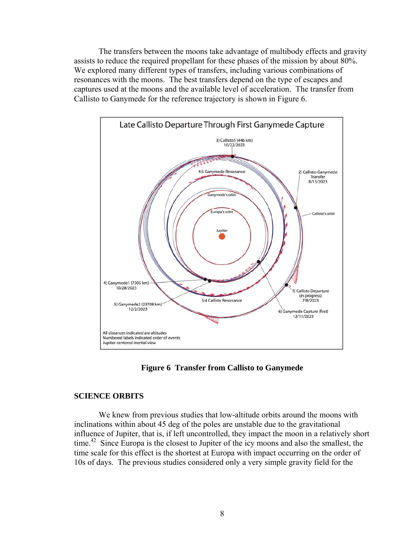The transfers between the moons take advantage of multibody effects and gravity assists to reduce the required propellant for these phases of the mission by about 80%. We explored many different types of transfers, including various combinations of resonances with the moons. The best transfers depend on the type of escapes and captures used at the moons and the available level of acceleration. The transfer from Callisto to Ganymede for the reference trajectory is shown in Figure 6.



**Figure 6 Transfer from Callisto to Ganymede**

#### **SCIENCE ORBITS**

 We knew from previous studies that low-altitude orbits around the moons with inclinations within about 45 deg of the poles are unstable due to the gravitational influence of Jupiter, that is, if left uncontrolled, they impact the moon in a relatively short time.<sup>42</sup> Since Europa is the closest to Jupiter of the icy moons and also the smallest, the time scale for this effect is the shortest at Europa with impact occurring on the order of 10s of days. The previous studies considered only a very simple gravity field for the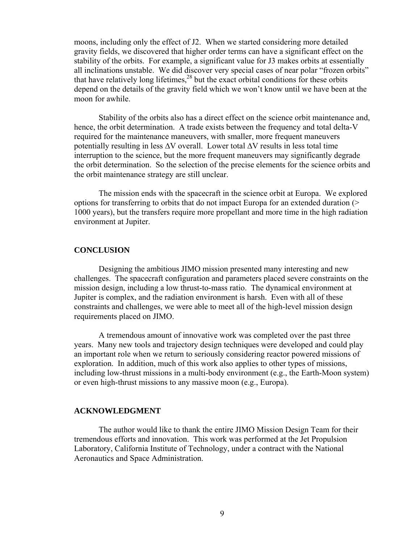moons, including only the effect of J2. When we started considering more detailed gravity fields, we discovered that higher order terms can have a significant effect on the stability of the orbits. For example, a significant value for J3 makes orbits at essentially all inclinations unstable. We did discover very special cases of near polar "frozen orbits" that have relatively long lifetimes,  $^{28}$  but the exact orbital conditions for these orbits depend on the details of the gravity field which we won't know until we have been at the moon for awhile.

 Stability of the orbits also has a direct effect on the science orbit maintenance and, hence, the orbit determination. A trade exists between the frequency and total delta-V required for the maintenance maneuvers, with smaller, more frequent maneuvers potentially resulting in less ∆V overall. Lower total ∆V results in less total time interruption to the science, but the more frequent maneuvers may significantly degrade the orbit determination. So the selection of the precise elements for the science orbits and the orbit maintenance strategy are still unclear.

 The mission ends with the spacecraft in the science orbit at Europa. We explored options for transferring to orbits that do not impact Europa for an extended duration (> 1000 years), but the transfers require more propellant and more time in the high radiation environment at Jupiter.

#### **CONCLUSION**

 Designing the ambitious JIMO mission presented many interesting and new challenges. The spacecraft configuration and parameters placed severe constraints on the mission design, including a low thrust-to-mass ratio. The dynamical environment at Jupiter is complex, and the radiation environment is harsh. Even with all of these constraints and challenges, we were able to meet all of the high-level mission design requirements placed on JIMO.

 A tremendous amount of innovative work was completed over the past three years. Many new tools and trajectory design techniques were developed and could play an important role when we return to seriously considering reactor powered missions of exploration. In addition, much of this work also applies to other types of missions, including low-thrust missions in a multi-body environment (e.g., the Earth-Moon system) or even high-thrust missions to any massive moon (e.g., Europa).

#### **ACKNOWLEDGMENT**

 The author would like to thank the entire JIMO Mission Design Team for their tremendous efforts and innovation. This work was performed at the Jet Propulsion Laboratory, California Institute of Technology, under a contract with the National Aeronautics and Space Administration.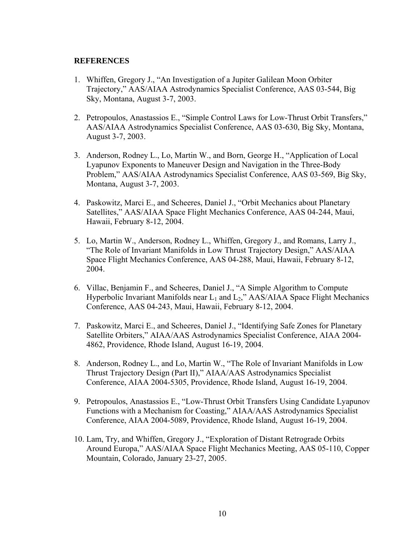#### **REFERENCES**

- 1. Whiffen, Gregory J., "An Investigation of a Jupiter Galilean Moon Orbiter Trajectory," AAS/AIAA Astrodynamics Specialist Conference, AAS 03-544, Big Sky, Montana, August 3-7, 2003.
- 2. Petropoulos, Anastassios E., "Simple Control Laws for Low-Thrust Orbit Transfers," AAS/AIAA Astrodynamics Specialist Conference, AAS 03-630, Big Sky, Montana, August 3-7, 2003.
- 3. Anderson, Rodney L., Lo, Martin W., and Born, George H., "Application of Local Lyapunov Exponents to Maneuver Design and Navigation in the Three-Body Problem," AAS/AIAA Astrodynamics Specialist Conference, AAS 03-569, Big Sky, Montana, August 3-7, 2003.
- 4. Paskowitz, Marci E., and Scheeres, Daniel J., "Orbit Mechanics about Planetary Satellites," AAS/AIAA Space Flight Mechanics Conference, AAS 04-244, Maui, Hawaii, February 8-12, 2004.
- 5. Lo, Martin W., Anderson, Rodney L., Whiffen, Gregory J., and Romans, Larry J., "The Role of Invariant Manifolds in Low Thrust Trajectory Design," AAS/AIAA Space Flight Mechanics Conference, AAS 04-288, Maui, Hawaii, February 8-12, 2004.
- 6. Villac, Benjamin F., and Scheeres, Daniel J., "A Simple Algorithm to Compute Hyperbolic Invariant Manifolds near  $L_1$  and  $L_2$ ," AAS/AIAA Space Flight Mechanics Conference, AAS 04-243, Maui, Hawaii, February 8-12, 2004.
- 7. Paskowitz, Marci E., and Scheeres, Daniel J., "Identifying Safe Zones for Planetary Satellite Orbiters," AIAA/AAS Astrodynamics Specialist Conference, AIAA 2004- 4862, Providence, Rhode Island, August 16-19, 2004.
- 8. Anderson, Rodney L., and Lo, Martin W., "The Role of Invariant Manifolds in Low Thrust Trajectory Design (Part II)," AIAA/AAS Astrodynamics Specialist Conference, AIAA 2004-5305, Providence, Rhode Island, August 16-19, 2004.
- 9. Petropoulos, Anastassios E., "Low-Thrust Orbit Transfers Using Candidate Lyapunov Functions with a Mechanism for Coasting," AIAA/AAS Astrodynamics Specialist Conference, AIAA 2004-5089, Providence, Rhode Island, August 16-19, 2004.
- 10. Lam, Try, and Whiffen, Gregory J., "Exploration of Distant Retrograde Orbits Around Europa," AAS/AIAA Space Flight Mechanics Meeting, AAS 05-110, Copper Mountain, Colorado, January 23-27, 2005.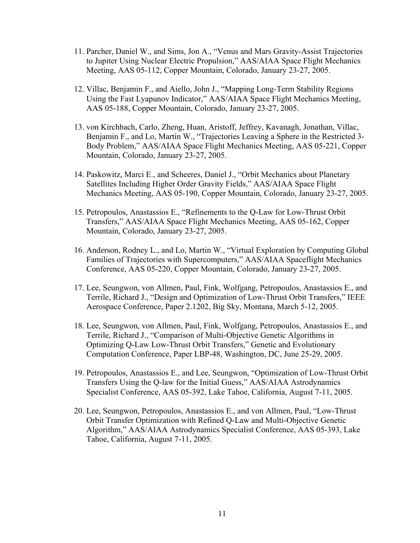- 11. Parcher, Daniel W., and Sims, Jon A., "Venus and Mars Gravity-Assist Trajectories to Jupiter Using Nuclear Electric Propulsion," AAS/AIAA Space Flight Mechanics Meeting, AAS 05-112, Copper Mountain, Colorado, January 23-27, 2005.
- 12. Villac, Benjamin F., and Aiello, John J., "Mapping Long-Term Stability Regions Using the Fast Lyapunov Indicator," AAS/AIAA Space Flight Mechanics Meeting, AAS 05-188, Copper Mountain, Colorado, January 23-27, 2005.
- 13. von Kirchbach, Carlo, Zheng, Huan, Aristoff, Jeffrey, Kavanagh, Jonathan, Villac, Benjamin F., and Lo, Martin W., "Trajectories Leaving a Sphere in the Restricted 3- Body Problem," AAS/AIAA Space Flight Mechanics Meeting, AAS 05-221, Copper Mountain, Colorado, January 23-27, 2005.
- 14. Paskowitz, Marci E., and Scheeres, Daniel J., "Orbit Mechanics about Planetary Satellites Including Higher Order Gravity Fields," AAS/AIAA Space Flight Mechanics Meeting, AAS 05-190, Copper Mountain, Colorado, January 23-27, 2005.
- 15. Petropoulos, Anastassios E., "Refinements to the Q-Law for Low-Thrust Orbit Transfers," AAS/AIAA Space Flight Mechanics Meeting, AAS 05-162, Copper Mountain, Colorado, January 23-27, 2005.
- 16. Anderson, Rodney L., and Lo, Martin W., "Virtual Exploration by Computing Global Families of Trajectories with Supercomputers," AAS/AIAA Spaceflight Mechanics Conference, AAS 05-220, Copper Mountain, Colorado, January 23-27, 2005.
- 17. Lee, Seungwon, von Allmen, Paul, Fink, Wolfgang, Petropoulos, Anastassios E., and Terrile, Richard J., "Design and Optimization of Low-Thrust Orbit Transfers," IEEE Aerospace Conference, Paper 2.1202, Big Sky, Montana, March 5-12, 2005.
- 18. Lee, Seungwon, von Allmen, Paul, Fink, Wolfgang, Petropoulos, Anastassios E., and Terrile, Richard J., "Comparison of Multi-Objective Genetic Algorithms in Optimizing Q-Law Low-Thrust Orbit Transfers," Genetic and Evolutionary Computation Conference, Paper LBP-48, Washington, DC, June 25-29, 2005.
- 19. Petropoulos, Anastassios E., and Lee, Seungwon, "Optimization of Low-Thrust Orbit Transfers Using the Q-law for the Initial Guess," AAS/AIAA Astrodynamics Specialist Conference, AAS 05-392, Lake Tahoe, California, August 7-11, 2005.
- 20. Lee, Seungwon, Petropoulos, Anastassios E., and von Allmen, Paul, "Low-Thrust Orbit Transfer Optimization with Refined Q-Law and Multi-Objective Genetic Algorithm," AAS/AIAA Astrodynamics Specialist Conference, AAS 05-393, Lake Tahoe, California, August 7-11, 2005.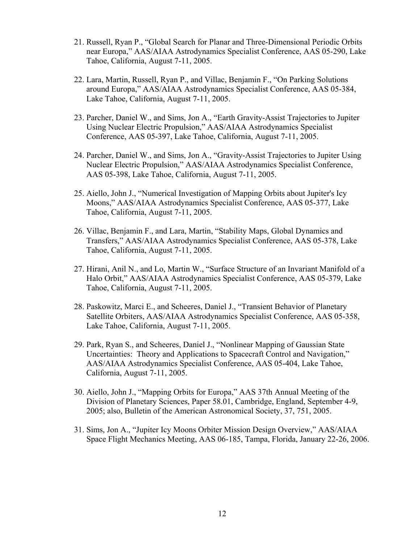- 21. Russell, Ryan P., "Global Search for Planar and Three-Dimensional Periodic Orbits near Europa," AAS/AIAA Astrodynamics Specialist Conference, AAS 05-290, Lake Tahoe, California, August 7-11, 2005.
- 22. Lara, Martin, Russell, Ryan P., and Villac, Benjamin F., "On Parking Solutions around Europa," AAS/AIAA Astrodynamics Specialist Conference, AAS 05-384, Lake Tahoe, California, August 7-11, 2005.
- 23. Parcher, Daniel W., and Sims, Jon A., "Earth Gravity-Assist Trajectories to Jupiter Using Nuclear Electric Propulsion," AAS/AIAA Astrodynamics Specialist Conference, AAS 05-397, Lake Tahoe, California, August 7-11, 2005.
- 24. Parcher, Daniel W., and Sims, Jon A., "Gravity-Assist Trajectories to Jupiter Using Nuclear Electric Propulsion," AAS/AIAA Astrodynamics Specialist Conference, AAS 05-398, Lake Tahoe, California, August 7-11, 2005.
- 25. Aiello, John J., "Numerical Investigation of Mapping Orbits about Jupiter's Icy Moons," AAS/AIAA Astrodynamics Specialist Conference, AAS 05-377, Lake Tahoe, California, August 7-11, 2005.
- 26. Villac, Benjamin F., and Lara, Martin, "Stability Maps, Global Dynamics and Transfers," AAS/AIAA Astrodynamics Specialist Conference, AAS 05-378, Lake Tahoe, California, August 7-11, 2005.
- 27. Hirani, Anil N., and Lo, Martin W., "Surface Structure of an Invariant Manifold of a Halo Orbit," AAS/AIAA Astrodynamics Specialist Conference, AAS 05-379, Lake Tahoe, California, August 7-11, 2005.
- 28. Paskowitz, Marci E., and Scheeres, Daniel J., "Transient Behavior of Planetary Satellite Orbiters, AAS/AIAA Astrodynamics Specialist Conference, AAS 05-358, Lake Tahoe, California, August 7-11, 2005.
- 29. Park, Ryan S., and Scheeres, Daniel J., "Nonlinear Mapping of Gaussian State Uncertainties: Theory and Applications to Spacecraft Control and Navigation," AAS/AIAA Astrodynamics Specialist Conference, AAS 05-404, Lake Tahoe, California, August 7-11, 2005.
- 30. Aiello, John J., "Mapping Orbits for Europa," AAS 37th Annual Meeting of the Division of Planetary Sciences, Paper 58.01, Cambridge, England, September 4-9, 2005; also, Bulletin of the American Astronomical Society, 37, 751, 2005.
- 31. Sims, Jon A., "Jupiter Icy Moons Orbiter Mission Design Overview," AAS/AIAA Space Flight Mechanics Meeting, AAS 06-185, Tampa, Florida, January 22-26, 2006.